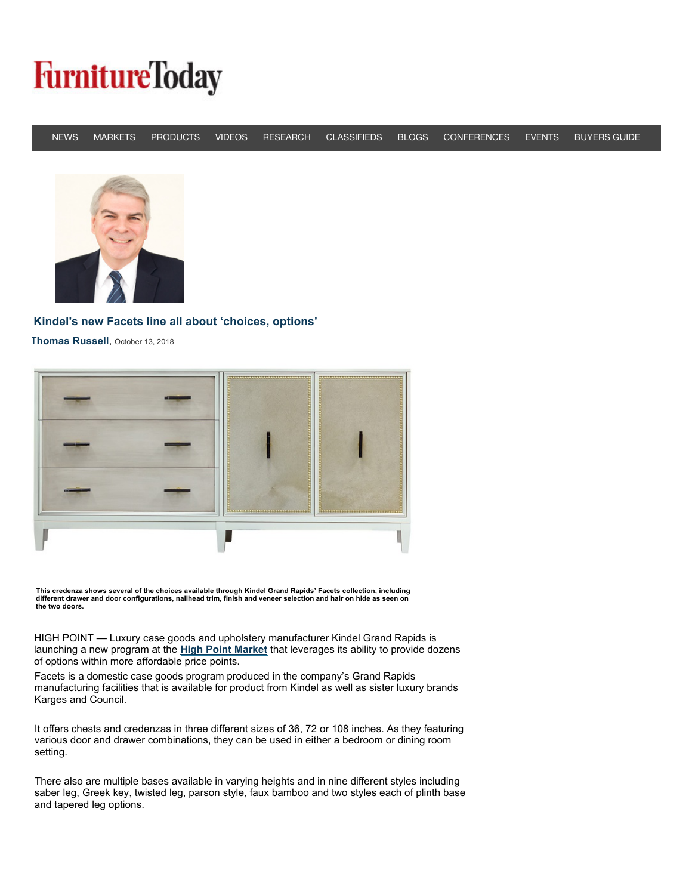## **FurnitureToday**

|  |  |  | NEWS MARKETS PRODUCTS VIDEOS RESEARCH CLASSIFIEDS BLOGS CONFERENCES EVENTS BUYERSGUIDE |  |
|--|--|--|----------------------------------------------------------------------------------------|--|



## **[Kindel's new Facets line all about 'choices, options'](https://adclick.g.doubleclick.net/pcs/click?xai=AKAOjssEwaKXgd8KyeyA09yImvHDYcL7tj6fpA6avdPD5g3e0NjCVXKvlYIqBQqJJZLlGnyzZDdjRFJTfO3l3LwBYTGSk4bbhE9f6pdN0XQg9J56o7uHQMCnAMIUUYNJCS_yNmhTba6kPzZEgg-8l89h2CU2k_Tk2Dv3tWesPIZvZOQ9DRmvn4PmZ_B2c_0qAnoCGiAwTYOV2ILH0kNz7ywKwQ-O7bUBP9LmK7akmRyIl6DMd5mTs_uCnlKU9Ye59aBgp-CuIJw&sai=AMfl-YSoxmr7D_xDvYsvBTeOp20lI1a3qZrFAqkr7tgHOwELh9iYzKzi8o3R9BbPNifMPlp7vjcL7l2F_jBXPWIFr5Ix3wYq5E3FiS_XTdAKa9gMowUNjtcuGXVvjO8&sig=Cg0ArKJSzBjZqXOH0fdlEAE&urlfix=1&adurl=http%3A%2F%2Fwww.flexsteel.com%2Fmove)**

**[Thomas Russell](http://www.furnituretoday.com/profile/0/russellt/3507/)**, October 13, 2018



**This c[redenza shows several of the choices a](http://www.furnituretoday.com/profile/0/russellt/3507/)vailable through Kindel Grand Rapids' Facets collection, including different drawer and door configurations, nailhead trim, finish and veneer selection and hair on hide as seen on the two doors.**

HIGH POINT — Luxury case goods and upholstery manufacturer Kindel Grand Rapids is launching a new program at the **High Point Market** that leverages its ability to provide dozens of options within more affordable price points.

Facets is a domestic case goods program produced in the company's Grand Rapids manufacturing facilities that is available for product from Kindel as well as sister luxury brands Karges and Council.

It offers chests and credenzas in three different sizes of 36, 72 or 108 inches. As they featuring various door and drawer combinations, they can be used in either a bedroom or dining room setting.

There also are multiple bases available in varying heights and in nine different styles including saber leg, Greek key, twisted leg, parson style, faux bamboo and two styles each of plinth base and tapered leg options.